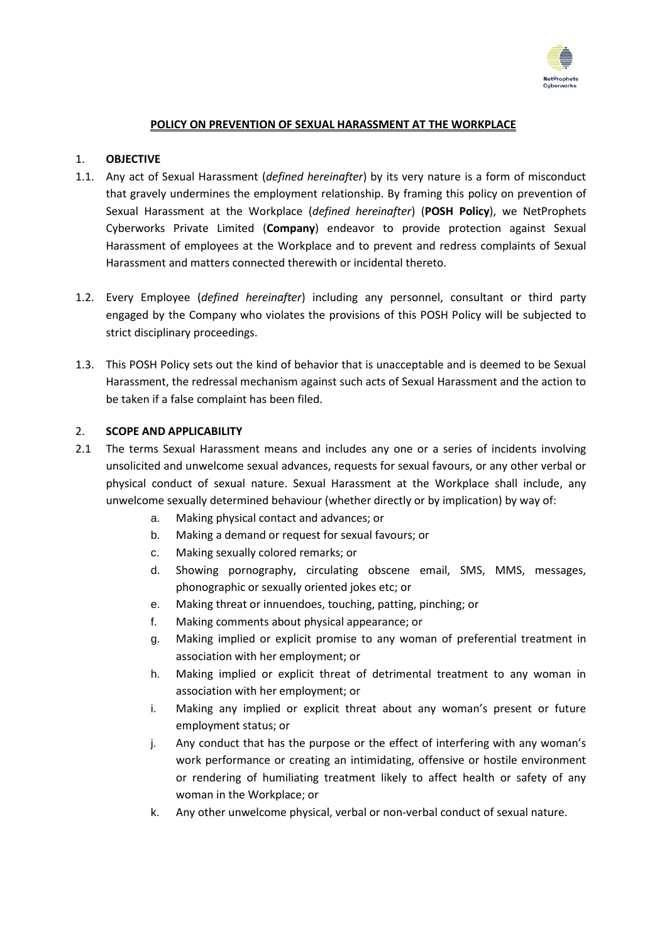

#### **POLICY ON PREVENTION OF SEXUAL HARASSMENT AT THE WORKPLACE**

#### 1. **OBJECTIVE**

- 1.1. Any act of Sexual Harassment (*defined hereinafter*) by its very nature is a form of misconduct that gravely undermines the employment relationship. By framing this policy on prevention of Sexual Harassment at the Workplace (*defined hereinafter*) (**POSH Policy**), we NetProphets Cyberworks Private Limited (**Company**) endeavor to provide protection against Sexual Harassment of employees at the Workplace and to prevent and redress complaints of Sexual Harassment and matters connected therewith or incidental thereto.
- 1.2. Every Employee (*defined hereinafter*) including any personnel, consultant or third party engaged by the Company who violates the provisions of this POSH Policy will be subjected to strict disciplinary proceedings.
- 1.3. This POSH Policy sets out the kind of behavior that is unacceptable and is deemed to be Sexual Harassment, the redressal mechanism against such acts of Sexual Harassment and the action to be taken if a false complaint has been filed.

#### 2. **SCOPE AND APPLICABILITY**

- 2.1 The terms Sexual Harassment means and includes any one or a series of incidents involving unsolicited and unwelcome sexual advances, requests for sexual favours, or any other verbal or physical conduct of sexual nature. Sexual Harassment at the Workplace shall include, any unwelcome sexually determined behaviour (whether directly or by implication) by way of:
	- a. Making physical contact and advances; or
	- b. Making a demand or request for sexual favours; or
	- c. Making sexually colored remarks; or
	- d. Showing pornography, circulating obscene email, SMS, MMS, messages, phonographic or sexually oriented jokes etc; or
	- e. Making threat or innuendoes, touching, patting, pinching; or
	- f. Making comments about physical appearance; or
	- g. Making implied or explicit promise to any woman of preferential treatment in association with her employment; or
	- h. Making implied or explicit threat of detrimental treatment to any woman in association with her employment; or
	- i. Making any implied or explicit threat about any woman's present or future employment status; or
	- j. Any conduct that has the purpose or the effect of interfering with any woman's work performance or creating an intimidating, offensive or hostile environment or rendering of humiliating treatment likely to affect health or safety of any woman in the Workplace; or
	- k. Any other unwelcome physical, verbal or non-verbal conduct of sexual nature.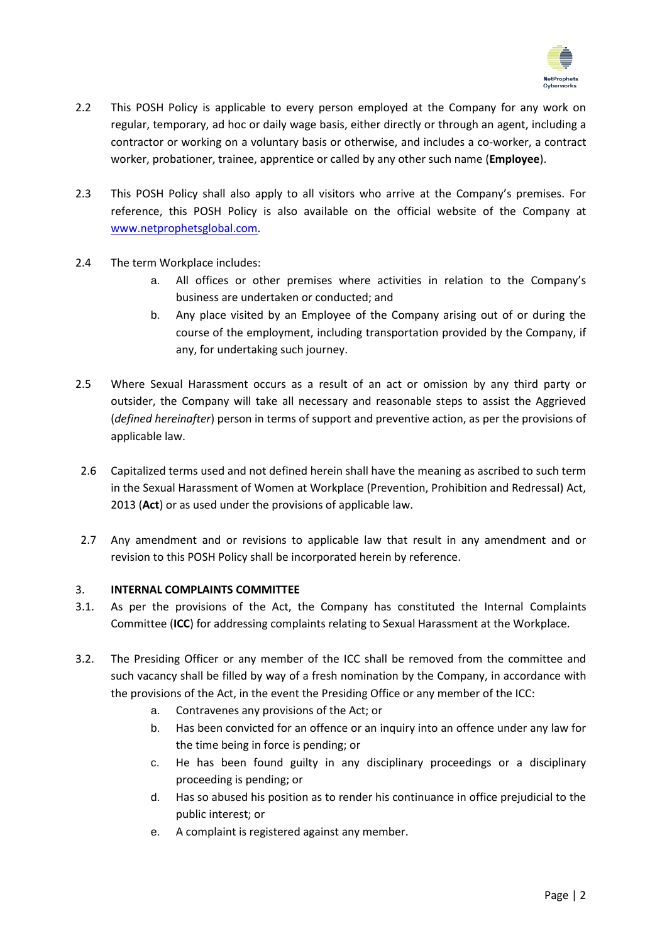

- 2.2 This POSH Policy is applicable to every person employed at the Company for any work on regular, temporary, ad hoc or daily wage basis, either directly or through an agent, including a contractor or working on a voluntary basis or otherwise, and includes a co-worker, a contract worker, probationer, trainee, apprentice or called by any other such name (**Employee**).
- 2.3 This POSH Policy shall also apply to all visitors who arrive at the Company's premises. For reference, this POSH Policy is also available on the official website of the Company at [www.netprophetsglobal.com.](http://www.netprophetsglobal.com/)
- 2.4 The term Workplace includes:
	- a. All offices or other premises where activities in relation to the Company's business are undertaken or conducted; and
	- b. Any place visited by an Employee of the Company arising out of or during the course of the employment, including transportation provided by the Company, if any, for undertaking such journey.
- 2.5 Where Sexual Harassment occurs as a result of an act or omission by any third party or outsider, the Company will take all necessary and reasonable steps to assist the Aggrieved (*defined hereinafter*) person in terms of support and preventive action, as per the provisions of applicable law.
- 2.6 Capitalized terms used and not defined herein shall have the meaning as ascribed to such term in the Sexual Harassment of Women at Workplace (Prevention, Prohibition and Redressal) Act, 2013 (**Act**) or as used under the provisions of applicable law.
- 2.7 Any amendment and or revisions to applicable law that result in any amendment and or revision to this POSH Policy shall be incorporated herein by reference.

## 3. **INTERNAL COMPLAINTS COMMITTEE**

- 3.1. As per the provisions of the Act, the Company has constituted the Internal Complaints Committee (**ICC**) for addressing complaints relating to Sexual Harassment at the Workplace.
- 3.2. The Presiding Officer or any member of the ICC shall be removed from the committee and such vacancy shall be filled by way of a fresh nomination by the Company, in accordance with the provisions of the Act, in the event the Presiding Office or any member of the ICC:
	- a. Contravenes any provisions of the Act; or
	- b. Has been convicted for an offence or an inquiry into an offence under any law for the time being in force is pending; or
	- c. He has been found guilty in any disciplinary proceedings or a disciplinary proceeding is pending; or
	- d. Has so abused his position as to render his continuance in office prejudicial to the public interest; or
	- e. A complaint is registered against any member.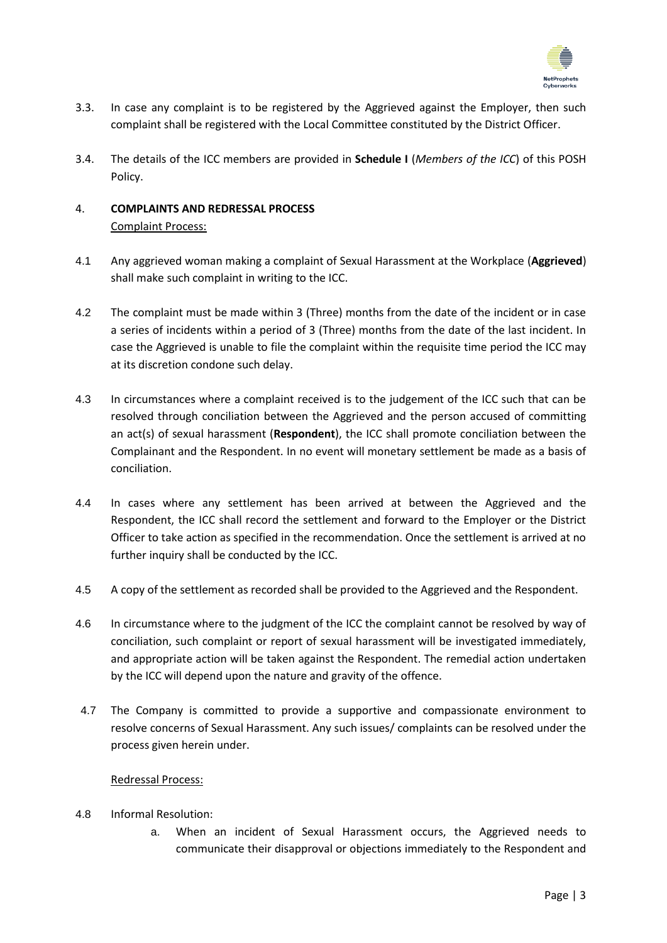

- 3.3. In case any complaint is to be registered by the Aggrieved against the Employer, then such complaint shall be registered with the Local Committee constituted by the District Officer.
- 3.4. The details of the ICC members are provided in **Schedule I** (*Members of the ICC*) of this POSH Policy.

## 4. **COMPLAINTS AND REDRESSAL PROCESS** Complaint Process:

- 4.1 Any aggrieved woman making a complaint of Sexual Harassment at the Workplace (**Aggrieved**) shall make such complaint in writing to the ICC.
- 4.2 The complaint must be made within 3 (Three) months from the date of the incident or in case a series of incidents within a period of 3 (Three) months from the date of the last incident. In case the Aggrieved is unable to file the complaint within the requisite time period the ICC may at its discretion condone such delay.
- 4.3 In circumstances where a complaint received is to the judgement of the ICC such that can be resolved through conciliation between the Aggrieved and the person accused of committing an act(s) of sexual harassment (**Respondent**), the ICC shall promote conciliation between the Complainant and the Respondent. In no event will monetary settlement be made as a basis of conciliation.
- 4.4 In cases where any settlement has been arrived at between the Aggrieved and the Respondent, the ICC shall record the settlement and forward to the Employer or the District Officer to take action as specified in the recommendation. Once the settlement is arrived at no further inquiry shall be conducted by the ICC.
- 4.5 A copy of the settlement as recorded shall be provided to the Aggrieved and the Respondent.
- 4.6 In circumstance where to the judgment of the ICC the complaint cannot be resolved by way of conciliation, such complaint or report of sexual harassment will be investigated immediately, and appropriate action will be taken against the Respondent. The remedial action undertaken by the ICC will depend upon the nature and gravity of the offence.
- 4.7 The Company is committed to provide a supportive and compassionate environment to resolve concerns of Sexual Harassment. Any such issues/ complaints can be resolved under the process given herein under.

## Redressal Process:

- 4.8 Informal Resolution:
	- a. When an incident of Sexual Harassment occurs, the Aggrieved needs to communicate their disapproval or objections immediately to the Respondent and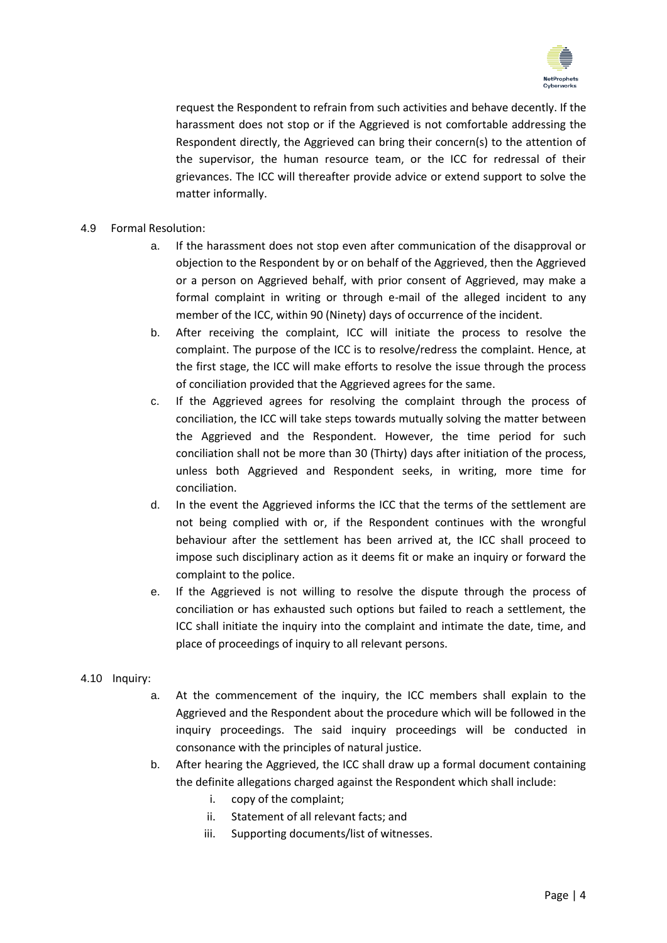

request the Respondent to refrain from such activities and behave decently. If the harassment does not stop or if the Aggrieved is not comfortable addressing the Respondent directly, the Aggrieved can bring their concern(s) to the attention of the supervisor, the human resource team, or the ICC for redressal of their grievances. The ICC will thereafter provide advice or extend support to solve the matter informally.

## 4.9 Formal Resolution:

- a. If the harassment does not stop even after communication of the disapproval or objection to the Respondent by or on behalf of the Aggrieved, then the Aggrieved or a person on Aggrieved behalf, with prior consent of Aggrieved, may make a formal complaint in writing or through e-mail of the alleged incident to any member of the ICC, within 90 (Ninety) days of occurrence of the incident.
- b. After receiving the complaint, ICC will initiate the process to resolve the complaint. The purpose of the ICC is to resolve/redress the complaint. Hence, at the first stage, the ICC will make efforts to resolve the issue through the process of conciliation provided that the Aggrieved agrees for the same.
- c. If the Aggrieved agrees for resolving the complaint through the process of conciliation, the ICC will take steps towards mutually solving the matter between the Aggrieved and the Respondent. However, the time period for such conciliation shall not be more than 30 (Thirty) days after initiation of the process, unless both Aggrieved and Respondent seeks, in writing, more time for conciliation.
- d. In the event the Aggrieved informs the ICC that the terms of the settlement are not being complied with or, if the Respondent continues with the wrongful behaviour after the settlement has been arrived at, the ICC shall proceed to impose such disciplinary action as it deems fit or make an inquiry or forward the complaint to the police.
- e. If the Aggrieved is not willing to resolve the dispute through the process of conciliation or has exhausted such options but failed to reach a settlement, the ICC shall initiate the inquiry into the complaint and intimate the date, time, and place of proceedings of inquiry to all relevant persons.

#### 4.10 Inquiry:

- a. At the commencement of the inquiry, the ICC members shall explain to the Aggrieved and the Respondent about the procedure which will be followed in the inquiry proceedings. The said inquiry proceedings will be conducted in consonance with the principles of natural justice.
- b. After hearing the Aggrieved, the ICC shall draw up a formal document containing the definite allegations charged against the Respondent which shall include:
	- i. copy of the complaint;
	- ii. Statement of all relevant facts; and
	- iii. Supporting documents/list of witnesses.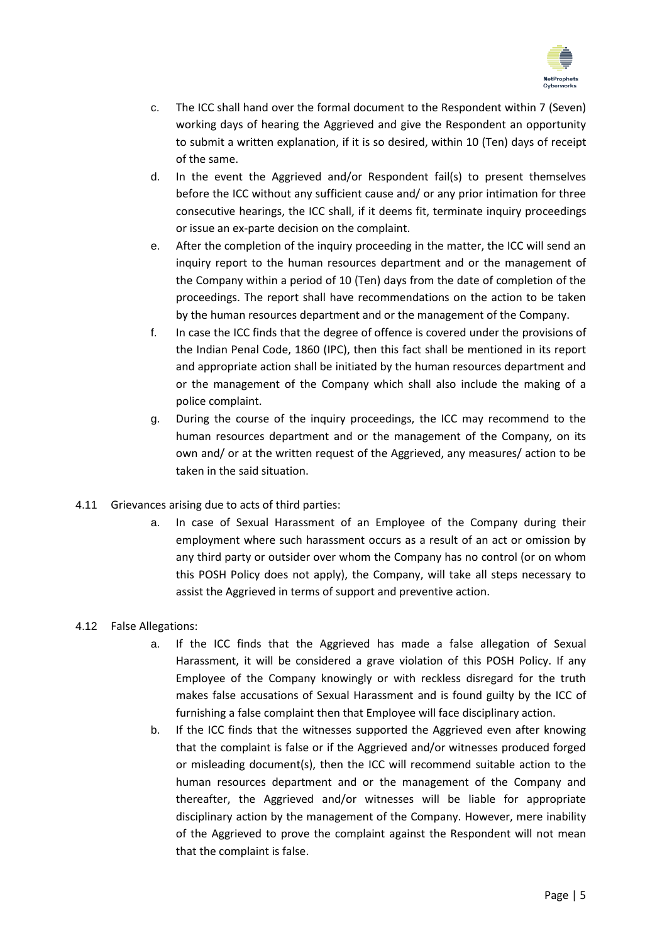

- c. The ICC shall hand over the formal document to the Respondent within 7 (Seven) working days of hearing the Aggrieved and give the Respondent an opportunity to submit a written explanation, if it is so desired, within 10 (Ten) days of receipt of the same.
- d. In the event the Aggrieved and/or Respondent fail(s) to present themselves before the ICC without any sufficient cause and/ or any prior intimation for three consecutive hearings, the ICC shall, if it deems fit, terminate inquiry proceedings or issue an ex-parte decision on the complaint.
- e. After the completion of the inquiry proceeding in the matter, the ICC will send an inquiry report to the human resources department and or the management of the Company within a period of 10 (Ten) days from the date of completion of the proceedings. The report shall have recommendations on the action to be taken by the human resources department and or the management of the Company.
- f. In case the ICC finds that the degree of offence is covered under the provisions of the Indian Penal Code, 1860 (IPC), then this fact shall be mentioned in its report and appropriate action shall be initiated by the human resources department and or the management of the Company which shall also include the making of a police complaint.
- g. During the course of the inquiry proceedings, the ICC may recommend to the human resources department and or the management of the Company, on its own and/ or at the written request of the Aggrieved, any measures/ action to be taken in the said situation.
- 4.11 Grievances arising due to acts of third parties:
	- a. In case of Sexual Harassment of an Employee of the Company during their employment where such harassment occurs as a result of an act or omission by any third party or outsider over whom the Company has no control (or on whom this POSH Policy does not apply), the Company, will take all steps necessary to assist the Aggrieved in terms of support and preventive action.

## 4.12 False Allegations:

- a. If the ICC finds that the Aggrieved has made a false allegation of Sexual Harassment, it will be considered a grave violation of this POSH Policy. If any Employee of the Company knowingly or with reckless disregard for the truth makes false accusations of Sexual Harassment and is found guilty by the ICC of furnishing a false complaint then that Employee will face disciplinary action.
- b. If the ICC finds that the witnesses supported the Aggrieved even after knowing that the complaint is false or if the Aggrieved and/or witnesses produced forged or misleading document(s), then the ICC will recommend suitable action to the human resources department and or the management of the Company and thereafter, the Aggrieved and/or witnesses will be liable for appropriate disciplinary action by the management of the Company. However, mere inability of the Aggrieved to prove the complaint against the Respondent will not mean that the complaint is false.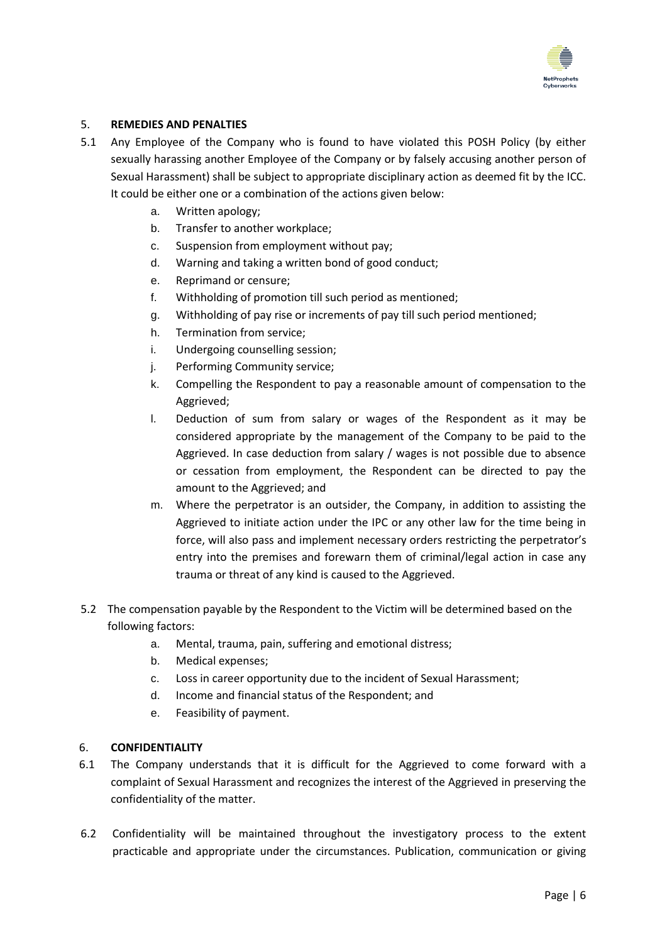

#### 5. **REMEDIES AND PENALTIES**

- 5.1 Any Employee of the Company who is found to have violated this POSH Policy (by either sexually harassing another Employee of the Company or by falsely accusing another person of Sexual Harassment) shall be subject to appropriate disciplinary action as deemed fit by the ICC. It could be either one or a combination of the actions given below:
	- a. Written apology;
	- b. Transfer to another workplace;
	- c. Suspension from employment without pay;
	- d. Warning and taking a written bond of good conduct;
	- e. Reprimand or censure;
	- f. Withholding of promotion till such period as mentioned;
	- g. Withholding of pay rise or increments of pay till such period mentioned;
	- h. Termination from service;
	- i. Undergoing counselling session;
	- j. Performing Community service;
	- k. Compelling the Respondent to pay a reasonable amount of compensation to the Aggrieved;
	- l. Deduction of sum from salary or wages of the Respondent as it may be considered appropriate by the management of the Company to be paid to the Aggrieved. In case deduction from salary / wages is not possible due to absence or cessation from employment, the Respondent can be directed to pay the amount to the Aggrieved; and
	- m. Where the perpetrator is an outsider, the Company, in addition to assisting the Aggrieved to initiate action under the IPC or any other law for the time being in force, will also pass and implement necessary orders restricting the perpetrator's entry into the premises and forewarn them of criminal/legal action in case any trauma or threat of any kind is caused to the Aggrieved.
- 5.2 The compensation payable by the Respondent to the Victim will be determined based on the following factors:
	- a. Mental, trauma, pain, suffering and emotional distress;
	- b. Medical expenses;
	- c. Loss in career opportunity due to the incident of Sexual Harassment;
	- d. Income and financial status of the Respondent; and
	- e. Feasibility of payment.

#### 6. **CONFIDENTIALITY**

- 6.1 The Company understands that it is difficult for the Aggrieved to come forward with a complaint of Sexual Harassment and recognizes the interest of the Aggrieved in preserving the confidentiality of the matter.
- 6.2 Confidentiality will be maintained throughout the investigatory process to the extent practicable and appropriate under the circumstances. Publication, communication or giving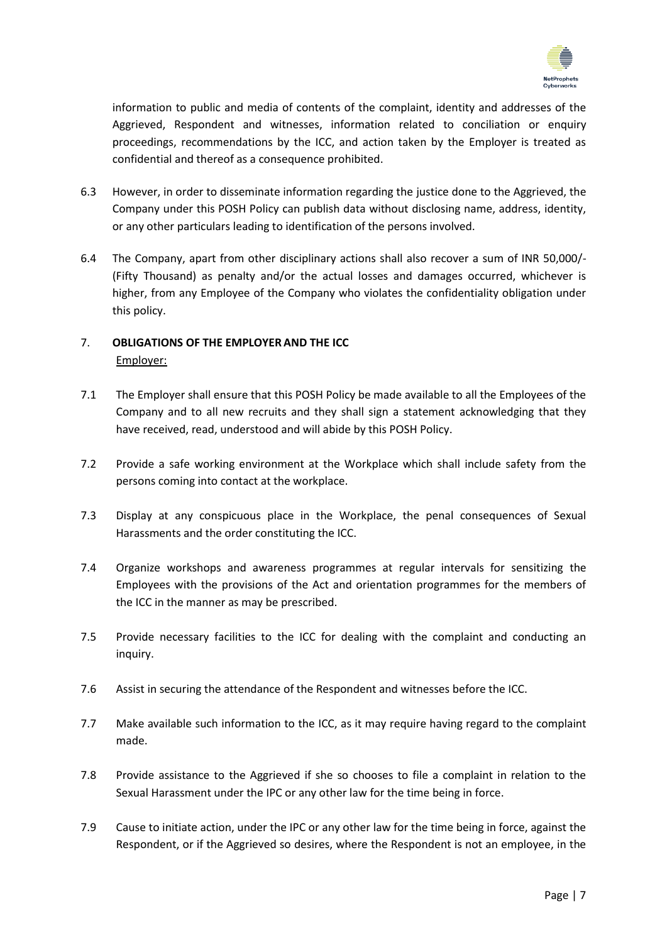

information to public and media of contents of the complaint, identity and addresses of the Aggrieved, Respondent and witnesses, information related to conciliation or enquiry proceedings, recommendations by the ICC, and action taken by the Employer is treated as confidential and thereof as a consequence prohibited.

- 6.3 However, in order to disseminate information regarding the justice done to the Aggrieved, the Company under this POSH Policy can publish data without disclosing name, address, identity, or any other particulars leading to identification of the persons involved.
- 6.4 The Company, apart from other disciplinary actions shall also recover a sum of INR 50,000/- (Fifty Thousand) as penalty and/or the actual losses and damages occurred, whichever is higher, from any Employee of the Company who violates the confidentiality obligation under this policy.

# 7. **OBLIGATIONS OF THE EMPLOYER AND THE ICC** Employer:

- 7.1 The Employer shall ensure that this POSH Policy be made available to all the Employees of the Company and to all new recruits and they shall sign a statement acknowledging that they have received, read, understood and will abide by this POSH Policy.
- 7.2 Provide a safe working environment at the Workplace which shall include safety from the persons coming into contact at the workplace.
- 7.3 Display at any conspicuous place in the Workplace, the penal consequences of Sexual Harassments and the order constituting the ICC.
- 7.4 Organize workshops and awareness programmes at regular intervals for sensitizing the Employees with the provisions of the Act and orientation programmes for the members of the ICC in the manner as may be prescribed.
- 7.5 Provide necessary facilities to the ICC for dealing with the complaint and conducting an inquiry.
- 7.6 Assist in securing the attendance of the Respondent and witnesses before the ICC.
- 7.7 Make available such information to the ICC, as it may require having regard to the complaint made.
- 7.8 Provide assistance to the Aggrieved if she so chooses to file a complaint in relation to the Sexual Harassment under the IPC or any other law for the time being in force.
- 7.9 Cause to initiate action, under the IPC or any other law for the time being in force, against the Respondent, or if the Aggrieved so desires, where the Respondent is not an employee, in the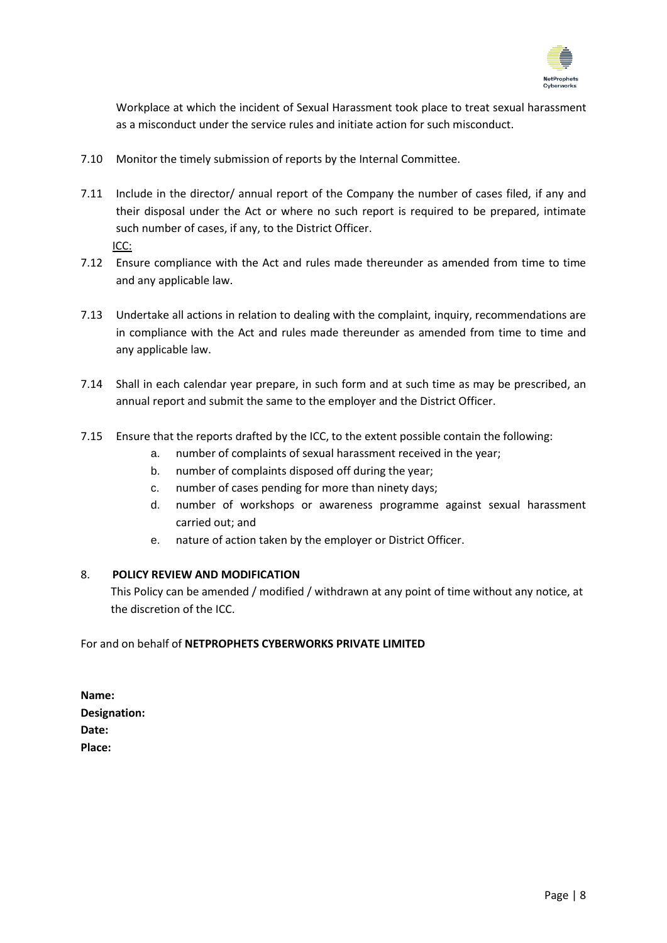

Workplace at which the incident of Sexual Harassment took place to treat sexual harassment as a misconduct under the service rules and initiate action for such misconduct.

- 7.10 Monitor the timely submission of reports by the Internal Committee.
- 7.11 Include in the director/ annual report of the Company the number of cases filed, if any and their disposal under the Act or where no such report is required to be prepared, intimate such number of cases, if any, to the District Officer.

ICC:

- 7.12 Ensure compliance with the Act and rules made thereunder as amended from time to time and any applicable law.
- 7.13 Undertake all actions in relation to dealing with the complaint, inquiry, recommendations are in compliance with the Act and rules made thereunder as amended from time to time and any applicable law.
- 7.14 Shall in each calendar year prepare, in such form and at such time as may be prescribed, an annual report and submit the same to the employer and the District Officer.
- 7.15 Ensure that the reports drafted by the ICC, to the extent possible contain the following:
	- a. number of complaints of sexual harassment received in the year;
	- b. number of complaints disposed off during the year;
	- c. number of cases pending for more than ninety days;
	- d. number of workshops or awareness programme against sexual harassment carried out; and
	- e. nature of action taken by the employer or District Officer.

#### 8. **POLICY REVIEW AND MODIFICATION**

This Policy can be amended / modified / withdrawn at any point of time without any notice, at the discretion of the ICC.

For and on behalf of **NETPROPHETS CYBERWORKS PRIVATE LIMITED**

**Name: Designation: Date: Place:**